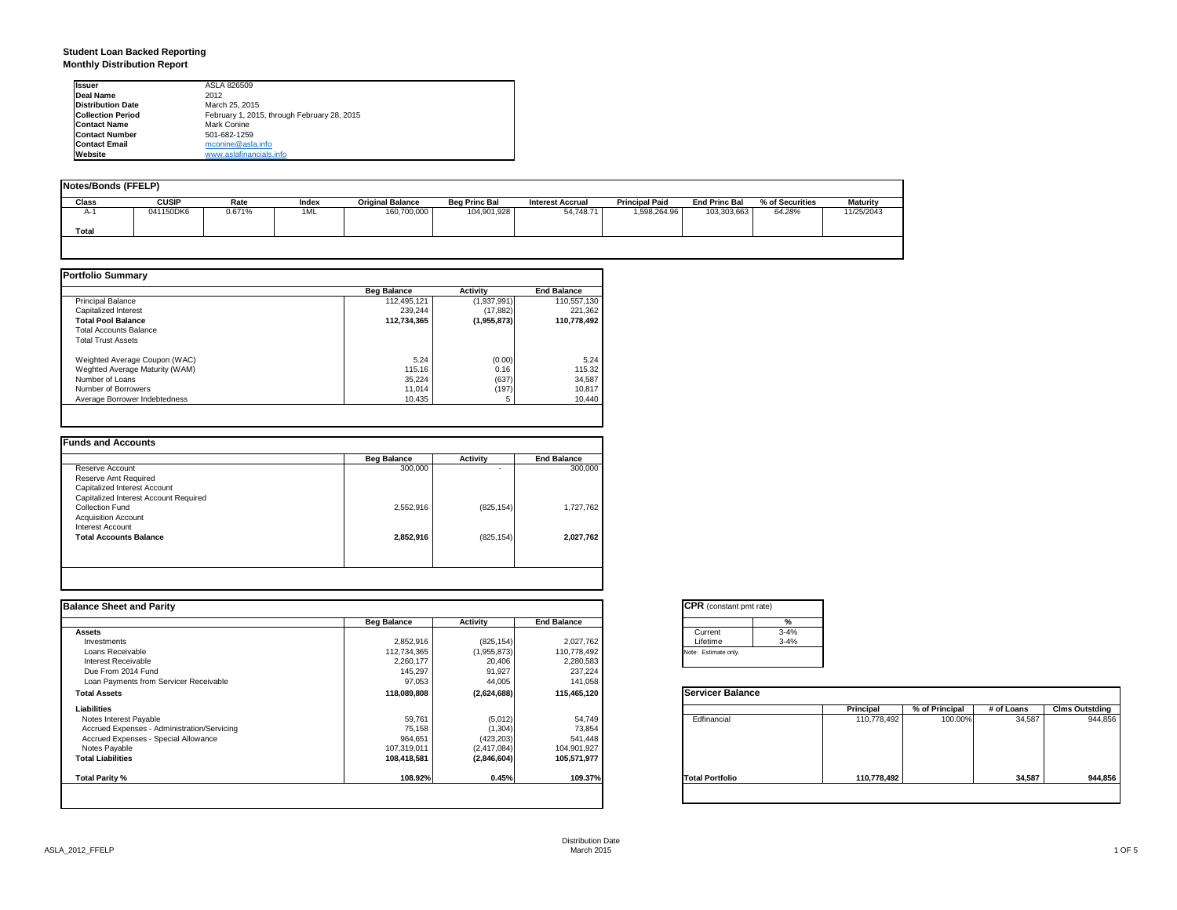## **Student Loan Backed Reporting Monthly Distribution Report**

| <b>Issuer</b>            | ASLA 826509                                 |
|--------------------------|---------------------------------------------|
| Deal Name                | 2012                                        |
| <b>Distribution Date</b> | March 25, 2015                              |
| <b>Collection Period</b> | February 1, 2015, through February 28, 2015 |
| <b>Contact Name</b>      | Mark Conine                                 |
| <b>Contact Number</b>    | 501-682-1259                                |
| <b>Contact Email</b>     | mconine@asla.info                           |
| Website                  | www.aslafinancials.info                     |

| <b>Notes/Bonds (FFELP)</b> |              |        |       |                         |                      |                         |                       |                      |                 |                 |
|----------------------------|--------------|--------|-------|-------------------------|----------------------|-------------------------|-----------------------|----------------------|-----------------|-----------------|
| <b>Class</b>               | <b>CUSIP</b> | Rate   | Index | <b>Original Balance</b> | <b>Beg Princ Bal</b> | <b>Interest Accrual</b> | <b>Principal Paid</b> | <b>End Princ Bal</b> | % of Securities | <b>Maturity</b> |
| $A-1$                      | 041150DK6    | 0.671% | 1ML   | 160,700,000             | 104,901,928          | 54.748.71               | 1.598.264.96          | 103.303.663          | 64.28%          | 11/25/2043      |
| <b>Total</b>               |              |        |       |                         |                      |                         |                       |                      |                 |                 |
|                            |              |        |       |                         |                      |                         |                       |                      |                 |                 |

|                                | <b>Beg Balance</b> | <b>Activity</b> | <b>End Balance</b> |
|--------------------------------|--------------------|-----------------|--------------------|
| <b>Principal Balance</b>       | 112,495,121        | (1,937,991)     | 110,557,130        |
| Capitalized Interest           | 239.244            | (17, 882)       | 221,362            |
| <b>Total Pool Balance</b>      | 112.734.365        | (1,955,873)     | 110.778.492        |
| <b>Total Accounts Balance</b>  |                    |                 |                    |
| <b>Total Trust Assets</b>      |                    |                 |                    |
| Weighted Average Coupon (WAC)  | 5.24               | (0.00)          | 5.24               |
| Weghted Average Maturity (WAM) | 115.16             | 0.16            | 115.32             |
| Number of Loans                | 35,224             | (637)           | 34,587             |
| Number of Borrowers            | 11.014             | (197)           | 10,817             |
| Average Borrower Indebtedness  | 10,435             |                 | 10.440             |

| <b>Beg Balance</b> | Activity   | <b>End Balance</b> |
|--------------------|------------|--------------------|
| 300,000            | ٠          | 300,000            |
|                    |            |                    |
|                    |            |                    |
|                    |            |                    |
| 2,552,916          | (825, 154) | 1,727,762          |
|                    |            |                    |
|                    |            |                    |
| 2,852,916          | (825, 154) | 2.027.762          |
|                    |            |                    |
|                    |            |                    |
|                    |            |                    |

| <b>Balance Sheet and Parity</b>             |                    |             |                    | <b>CPR</b> (constant pmt rate) |             |                |            |                       |
|---------------------------------------------|--------------------|-------------|--------------------|--------------------------------|-------------|----------------|------------|-----------------------|
|                                             | <b>Beg Balance</b> | Activity    | <b>End Balance</b> | %                              |             |                |            |                       |
| <b>Assets</b>                               |                    |             |                    | $3 - 4%$<br>Current            |             |                |            |                       |
| Investments                                 | 2,852,916          | (825, 154)  | 2,027,762          | Lifetime<br>$3 - 4%$           |             |                |            |                       |
| Loans Receivable                            | 112,734,365        | (1,955,873) | 110,778,492        | Note: Estimate only.           |             |                |            |                       |
| Interest Receivable                         | 2,260,177          | 20,406      | 2,280,583          |                                |             |                |            |                       |
| Due From 2014 Fund                          | 145,297            | 91,927      | 237,224            |                                |             |                |            |                       |
| Loan Payments from Servicer Receivable      | 97,053             | 44,005      | 141,058            |                                |             |                |            |                       |
| <b>Total Assets</b>                         | 118,089,808        | (2,624,688) | 115,465,120        | <b>Servicer Balance</b>        |             |                |            |                       |
| Liabilities                                 |                    |             |                    |                                | Principal   | % of Principal | # of Loans | <b>Clms Outstding</b> |
| Notes Interest Payable                      | 59,761             | (5,012)     | 54,749             | Edfinancial                    | 110,778,492 | 100.00%        | 34,587     | 944,856               |
| Accrued Expenses - Administration/Servicing | 75,158             | (1, 304)    | 73,854             |                                |             |                |            |                       |
| Accrued Expenses - Special Allowance        | 964,651            | (423, 203)  | 541,448            |                                |             |                |            |                       |
| Notes Payable                               | 107,319,011        | (2,417,084) | 104,901,927        |                                |             |                |            |                       |
| <b>Total Liabilities</b>                    | 108,418,581        | (2,846,604) | 105,571,977        |                                |             |                |            |                       |
| Total Parity %                              | 108.92%            | 0.45%       | 109.37%            | <b>Total Portfolio</b>         | 110,778,492 |                | 34,587     | 944,856               |
|                                             |                    |             |                    |                                |             |                |            |                       |

| Current              | $3 - 4%$ |
|----------------------|----------|
| Lifetime             | $3 - 4%$ |
| Note: Estimate only. |          |

|                        | Principal   | % of Principal | # of Loans | <b>Clms Outstding</b> |
|------------------------|-------------|----------------|------------|-----------------------|
| Edfinancial            | 110,778,492 | 100.00%        | 34,587     | 944,856               |
| <b>Total Portfolio</b> | 110,778,492 |                | 34,587     | 944.856               |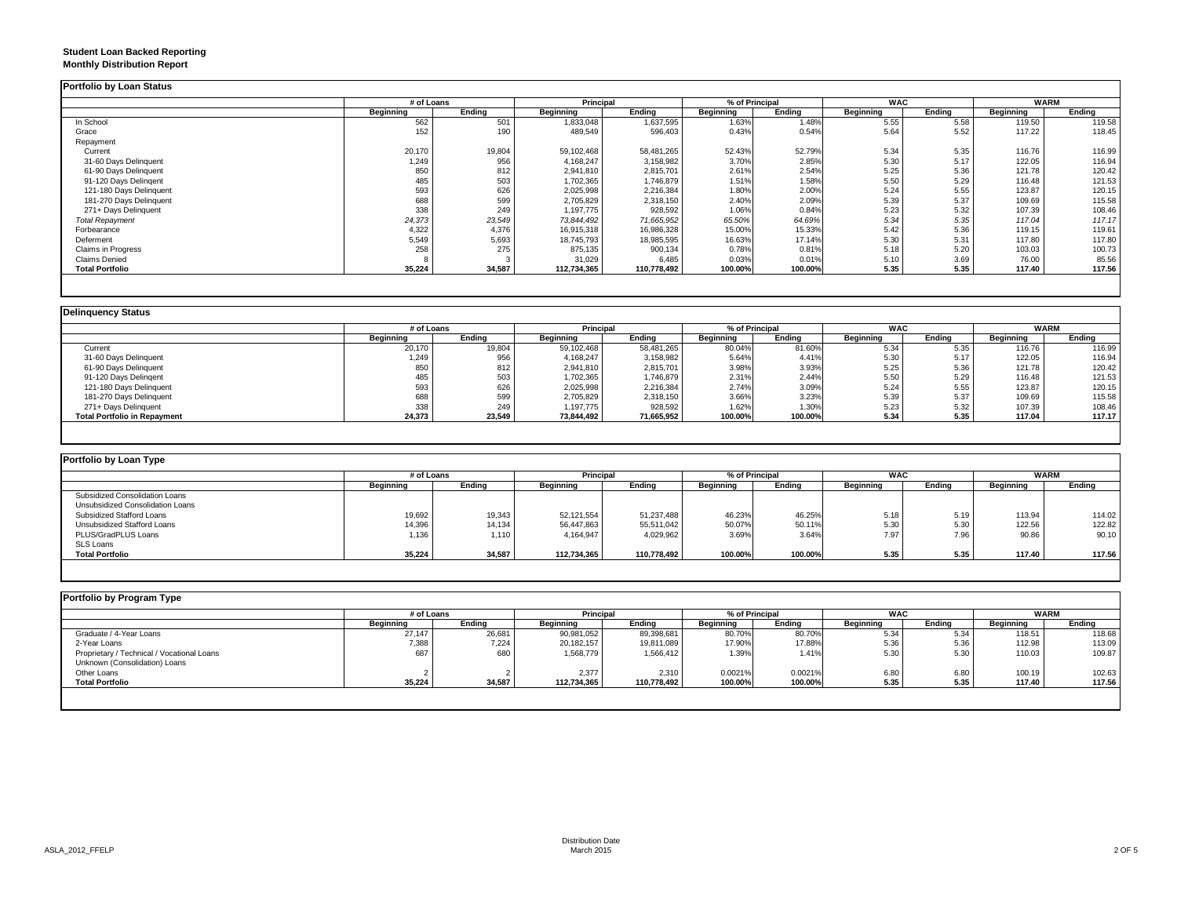## **Student Loan Backed Reporting Monthly Distribution Report**

|                         |           | # of Loans |             | Principal   |           | % of Principal |                  | <b>WAC</b> |           | <b>WARM</b> |
|-------------------------|-----------|------------|-------------|-------------|-----------|----------------|------------------|------------|-----------|-------------|
|                         | Beginning | Ending     | Beginning   | Ending      | Beginning | Ending         | <b>Beginning</b> | Ending     | Beginning | Ending      |
| In School               | 562       | 501        | 1,833,048   | 1,637,595   | 1.63%     | 1.48%          | 5.55             | 5.58       | 119.50    | 119.58      |
| Grace                   | 152       | 190        | 489,549     | 596,403     | 0.43%     | 0.54%          | 5.64             | 5.52       | 117.22    | 118.45      |
| Repayment               |           |            |             |             |           |                |                  |            |           |             |
| Current                 | 20,170    | 19,804     | 59,102,468  | 58,481,265  | 52.43%    | 52.79%         | 5.34             | 5.35       | 116.76    | 116.99      |
| 31-60 Days Delinquent   | 1,249     | 956        | 4,168,247   | 3,158,982   | 3.70%     | 2.85%          | 5.30             | 5.17       | 122.05    | 116.94      |
| 61-90 Days Delinquent   | 850       | 812        | 2,941,810   | 2,815,701   | 2.61%     | 2.54%          | 5.25             | 5.36       | 121.78    | 120.42      |
| 91-120 Davs Delingent   | 485       | 503        | 1,702,365   | 1,746,879   | 1.51%     | 1.58%          | 5.50             | 5.29       | 116.48    | 121.53      |
| 121-180 Days Delinquent | 593       | 626        | 2,025,998   | 2,216,384   | 1.80%     | 2.00%          | 5.24             | 5.55       | 123.87    | 120.15      |
| 181-270 Days Delinquent | 688       | 599        | 2,705,829   | 2,318,150   | 2.40%     | 2.09%          | 5.39             | 5.37       | 109.69    | 115.58      |
| 271+ Days Delinquent    | 338       | 249        | 1,197,775   | 928,592     | 1.06%     | 0.84%          | 5.23             | 5.32       | 107.39    | 108.46      |
| <b>Total Repayment</b>  | 24,373    | 23,549     | 73,844,492  | 71,665,952  | 65.50%    | 64.69%         | 5.34             | 5.35       | 117.04    | 117.17      |
| Forbearance             | 4,322     | 4,376      | 16,915,318  | 16,986,328  | 15.00%    | 15.33%         | 5.42             | 5.36       | 119.15    | 119.61      |
| Deferment               | 5,549     | 5,693      | 18,745,793  | 18,985,595  | 16.63%    | 17.14%         | 5.30             | 5.31       | 117.80    | 117.80      |
| Claims in Progress      | 258       | 275        | 875,135     | 900,134     | 0.78%     | 0.81%          | 5.18             | 5.20       | 103.03    | 100.73      |
| Claims Denied           |           |            | 31,029      | 6.485       | 0.03%     | 0.01%          | 5.10             | 3.69       | 76.00     | 85.56       |
| <b>Total Portfolio</b>  | 35,224    | 34,587     | 112,734,365 | 110,778,492 | 100.00%   | 100.00%        | 5.35             | 5.35       | 117.40    | 117.56      |

|                                     |           | # of Loans |            | <b>Principal</b> |           | % of Principal | <b>WAC</b> |        | <b>WARM</b> |        |
|-------------------------------------|-----------|------------|------------|------------------|-----------|----------------|------------|--------|-------------|--------|
|                                     | Beainnina | Endina     | Beginning  | Ending           | Beginning | Ending         | Beginning  | Endina | Beginning   | Endina |
| Current                             | 20,170    | 19,804     | 59,102,468 | 58,481,265       | 80.04%    | 81.60%         | 5.34       | 5.35   | 116.76      | 116.99 |
| 31-60 Days Delinquent               | 1,249     | 956        | 4,168,247  | 3,158,982        | 5.64%     | 4.41%          | 5.30       | 5.17   | 122.05      | 116.94 |
| 61-90 Days Delinquent               | 850       | 812        | 2,941,810  | 2,815,701        | 3.98%     | 3.93%          | 5.25       | 5.36   | 121.78      | 120.42 |
| 91-120 Days Delingent               | 485       | 503        | 1,702,365  | 1,746,879        | 2.31%     | 2.44%          | 5.50       | 5.29   | 116.48      | 121.53 |
| 121-180 Days Delinquent             | 593       | 626        | 2,025,998  | 2,216,384        | 2.74%     | 3.09%          | 5.24       | 5.55   | 123.87      | 120.15 |
| 181-270 Days Delinquent             | 688       | 599        | 2,705,829  | 2,318,150        | 3.66%     | 3.23%          | 5.39       | 5.37   | 109.69      | 115.58 |
| 271+ Days Delinguent                | 338       | 249        | 1,197,775  | 928,592          | 1.62%     | 1.30%          | 5.23       | 5.32   | 107.39      | 108.46 |
| <b>Total Portfolio in Repayment</b> | 24,373    | 23,549     | 73,844,492 | 71,665,952       | 100.00%   | 100.00%        | 5.34       | 5.35   | 117.04      | 117.17 |

| Portfolio by Loan Type           |            |        |                  |             |                |         |                  |        |             |        |  |
|----------------------------------|------------|--------|------------------|-------------|----------------|---------|------------------|--------|-------------|--------|--|
|                                  | # of Loans |        | Principal        |             | % of Principal |         | <b>WAC</b>       |        | <b>WARM</b> |        |  |
|                                  | Beainnina  | Ending | <b>Beginning</b> | Endina      | Beainnina      | Endina  | <b>Beainning</b> | Endina | Beginning   | Ending |  |
| Subsidized Consolidation Loans   |            |        |                  |             |                |         |                  |        |             |        |  |
| Unsubsidized Consolidation Loans |            |        |                  |             |                |         |                  |        |             |        |  |
| Subsidized Stafford Loans        | 19,692     | 19,343 | 52.121.554       | 51.237.488  | 46.23%         | 46.25%  | 5.18             | 5.19   | 113.94      | 114.02 |  |
| Unsubsidized Stafford Loans      | 14,396     | 14,134 | 56,447,863       | 55,511,042  | 50.07%         | 50.11%  | 5.30             | 5.30   | 122.56      | 122.82 |  |
| PLUS/GradPLUS Loans              | 1,136      | 1.110  | 4.164.947        | 4,029,962   | 3.69%          | 3.64%   | 7.97             | 7.96   | 90.86       | 90.10  |  |
| SLS Loans                        |            |        |                  |             |                |         |                  |        |             |        |  |
| <b>Total Portfolio</b>           | 35,224     | 34,587 | 112.734.365      | 110.778.492 | 100.00%        | 100.00% | 5.35             | 5.35   | 117.40      | 117.56 |  |

|                                            |           | # of Loans |             | <b>Principal</b> |           | % of Principal |                  | <b>WAC</b> |                  | <b>WARM</b> |  |
|--------------------------------------------|-----------|------------|-------------|------------------|-----------|----------------|------------------|------------|------------------|-------------|--|
|                                            | Beginning | Ending     | Beginning   | Ending           | Beginning | Ending         | <b>Beginning</b> | Ending     | <b>Beginning</b> | Ending      |  |
| Graduate / 4-Year Loans                    | 27,147    | 26,681     | 90,981,052  | 89,398,681       | 80.70%    | 80.70%         | 5.34             | 5.34       | 118.51           | 118.68      |  |
| 2-Year Loans                               | 7,388     | 7,224      | 20,182,157  | 19,811,089       | 17.90%    | 17.88%         | 5.36             | 5.36       | 112.98           | 113.09      |  |
| Proprietary / Technical / Vocational Loans | 687       | 680        | 1,568,779   | 1,566,412        | 1.39%     | 1.41%          | 5.30             | 5.30       | 110.03           | 109.87      |  |
| Unknown (Consolidation) Loans              |           |            |             |                  |           |                |                  |            |                  |             |  |
| Other Loans                                |           |            | 2,377       | 2,310            | 0.0021%   | 0.0021%        | 6.80             | 6.80       | 100.19           | 102.63      |  |
| <b>Total Portfolio</b>                     | 35,224    | 34,587     | 112,734,365 | 110,778,492      | 100.00%   | 100.00%        | 5.35             | 5.35       | 117.40           | 117.56      |  |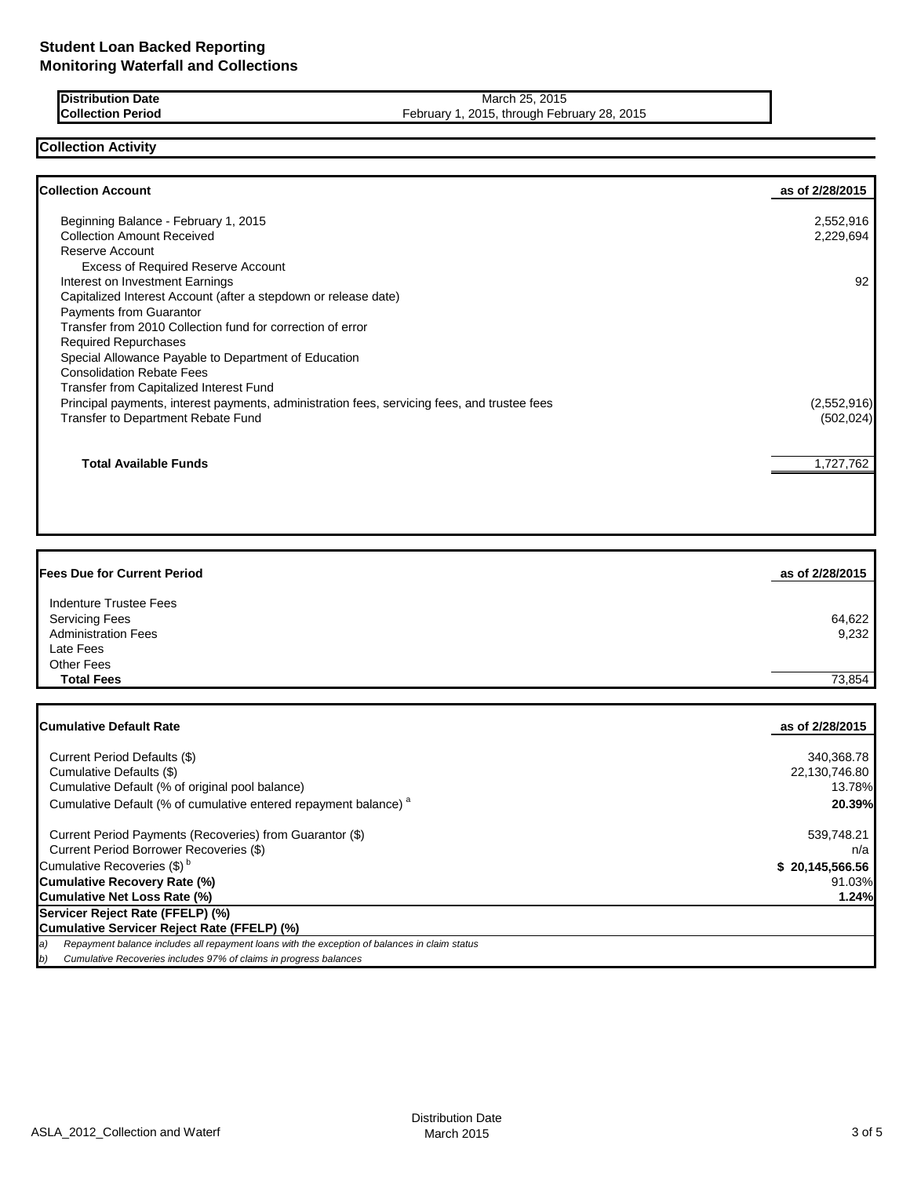**Distribution Date** March 25, 2015<br> **Collection Period** Collection Period **Collection Period** February 1, 2015, through Feb

February 1, 2015, through February 28, 2015

**Collection Activity**

| <b>Collection Account</b>                                                                    | as of 2/28/2015 |
|----------------------------------------------------------------------------------------------|-----------------|
| Beginning Balance - February 1, 2015                                                         | 2,552,916       |
| <b>Collection Amount Received</b>                                                            | 2,229,694       |
| Reserve Account                                                                              |                 |
| <b>Excess of Required Reserve Account</b>                                                    |                 |
| Interest on Investment Earnings                                                              | 92              |
| Capitalized Interest Account (after a stepdown or release date)                              |                 |
| Payments from Guarantor                                                                      |                 |
| Transfer from 2010 Collection fund for correction of error                                   |                 |
| <b>Required Repurchases</b>                                                                  |                 |
| Special Allowance Payable to Department of Education                                         |                 |
| <b>Consolidation Rebate Fees</b>                                                             |                 |
| <b>Transfer from Capitalized Interest Fund</b>                                               |                 |
| Principal payments, interest payments, administration fees, servicing fees, and trustee fees | (2,552,916)     |
| Transfer to Department Rebate Fund                                                           | (502, 024)      |
| <b>Total Available Funds</b>                                                                 | 1,727,762       |
|                                                                                              |                 |

| <b>Fees Due for Current Period</b> | as of 2/28/2015 |
|------------------------------------|-----------------|
| Indenture Trustee Fees             |                 |
| <b>Servicing Fees</b>              | 64,622          |
| <b>Administration Fees</b>         | 9,232           |
| Late Fees                          |                 |
| <b>Other Fees</b>                  |                 |
| <b>Total Fees</b>                  | 73.854          |

| <b>Cumulative Default Rate</b>                                                                      | as of 2/28/2015 |
|-----------------------------------------------------------------------------------------------------|-----------------|
| Current Period Defaults (\$)                                                                        | 340,368.78      |
| Cumulative Defaults (\$)                                                                            | 22,130,746.80   |
| Cumulative Default (% of original pool balance)                                                     | 13.78%          |
| Cumulative Default (% of cumulative entered repayment balance) <sup>a</sup>                         | 20.39%          |
| Current Period Payments (Recoveries) from Guarantor (\$)                                            | 539,748.21      |
| Current Period Borrower Recoveries (\$)                                                             | n/a             |
| Cumulative Recoveries (\$) <sup>b</sup>                                                             | \$20,145,566.56 |
| Cumulative Recovery Rate (%)                                                                        | 91.03%          |
| Cumulative Net Loss Rate (%)                                                                        | 1.24%           |
| Servicer Reject Rate (FFELP) (%)                                                                    |                 |
| Cumulative Servicer Reject Rate (FFELP) (%)                                                         |                 |
| a)<br>Repayment balance includes all repayment loans with the exception of balances in claim status |                 |
| Cumulative Recoveries includes 97% of claims in progress balances<br>b)                             |                 |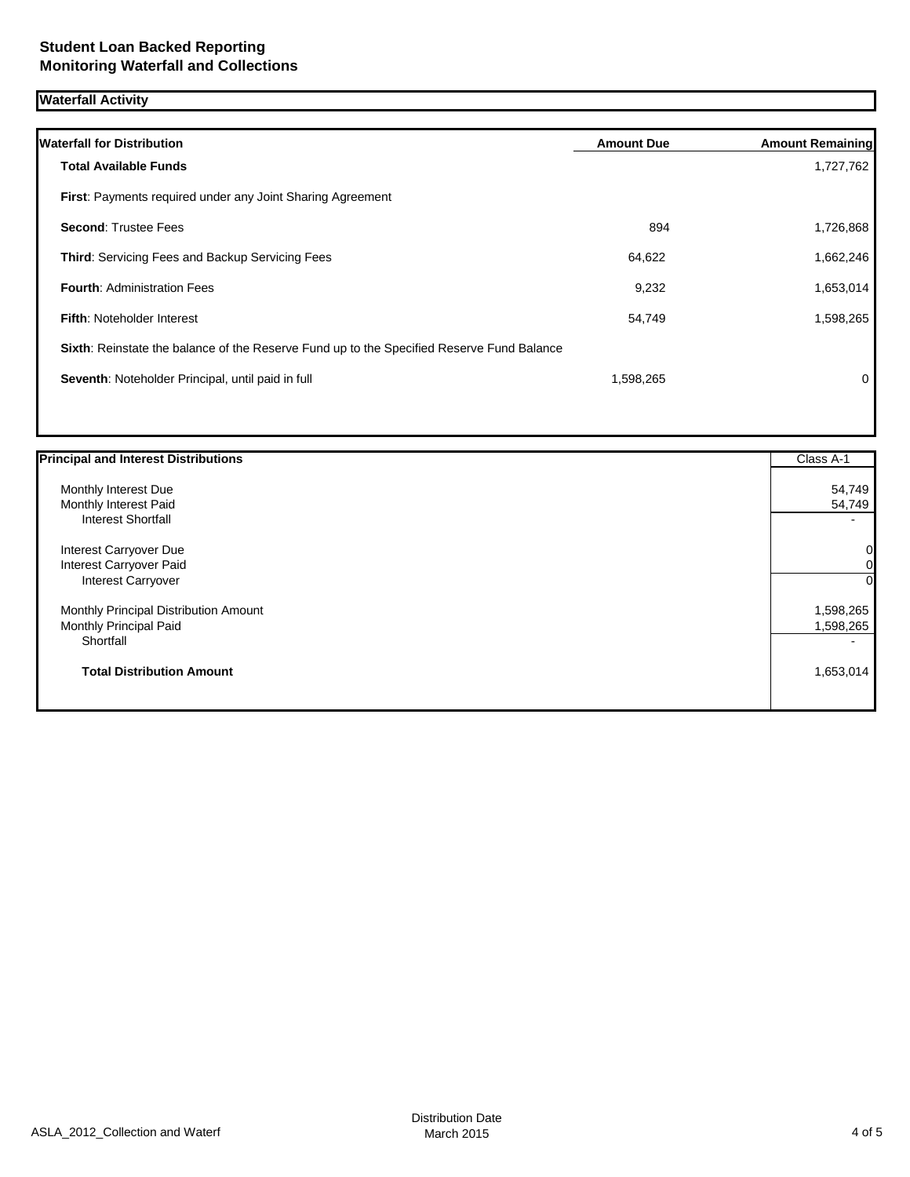# **Waterfall Activity**

| <b>Waterfall for Distribution</b>                                                         | <b>Amount Due</b> | <b>Amount Remaining</b> |
|-------------------------------------------------------------------------------------------|-------------------|-------------------------|
| <b>Total Available Funds</b>                                                              |                   | 1,727,762               |
| First: Payments required under any Joint Sharing Agreement                                |                   |                         |
| <b>Second: Trustee Fees</b>                                                               | 894               | 1,726,868               |
| <b>Third: Servicing Fees and Backup Servicing Fees</b>                                    | 64,622            | 1,662,246               |
| <b>Fourth: Administration Fees</b>                                                        | 9,232             | 1,653,014               |
| <b>Fifth: Noteholder Interest</b>                                                         | 54,749            | 1,598,265               |
| Sixth: Reinstate the balance of the Reserve Fund up to the Specified Reserve Fund Balance |                   |                         |
| Seventh: Noteholder Principal, until paid in full                                         | 1,598,265         | $\Omega$                |
|                                                                                           |                   |                         |

| <b>Principal and Interest Distributions</b> | Class A-1 |
|---------------------------------------------|-----------|
| Monthly Interest Due                        | 54,749    |
| Monthly Interest Paid                       | 54,749    |
| <b>Interest Shortfall</b>                   |           |
| Interest Carryover Due                      | 0         |
| Interest Carryover Paid                     | 0         |
| Interest Carryover                          | $\Omega$  |
| Monthly Principal Distribution Amount       | 1,598,265 |
| Monthly Principal Paid                      | 1,598,265 |
| Shortfall                                   |           |
| <b>Total Distribution Amount</b>            | 1,653,014 |
|                                             |           |